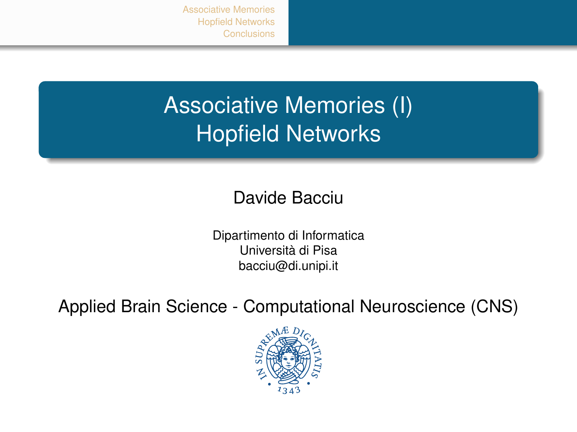[Associative Memories](#page-1-0) [Hopfield Networks](#page-10-0)

# Associative Memories (I) Hopfield Networks

#### Davide Bacciu

Dipartimento di Informatica Università di Pisa bacciu@di.unipi.it

Applied Brain Science - Computational Neuroscience (CNS)

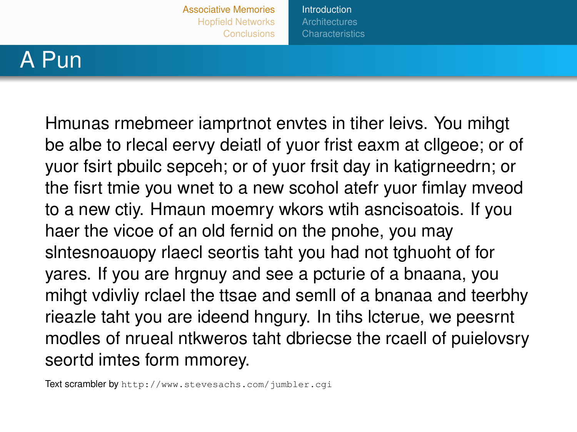**[Introduction](#page-1-0)** 

### <span id="page-1-0"></span>A Pun

Hmunas rmebmeer iamprtnot envtes in tiher leivs. You mihgt be albe to rlecal eervy deiatl of yuor frist eaxm at cllgeoe; or of yuor fsirt pbuilc sepceh; or of yuor frsit day in katigrneedrn; or the fisrt tmie you wnet to a new scohol atefr yuor fimlay mveod to a new ctiy. Hmaun moemry wkors wtih asncisoatois. If you haer the vicoe of an old fernid on the pnohe, you may slntesnoauopy rlaecl seortis taht you had not tghuoht of for yares. If you are hrgnuy and see a pcturie of a bnaana, you mihgt vdivliy rclael the ttsae and semll of a bnanaa and teerbhy rieazle taht you are ideend hngury. In tihs lcterue, we peesrnt modles of nrueal ntkweros taht dbriecse the rcaell of puielovsry seortd imtes form mmorey.

Text scrambler by <http://www.stevesachs.com/jumbler.cgi>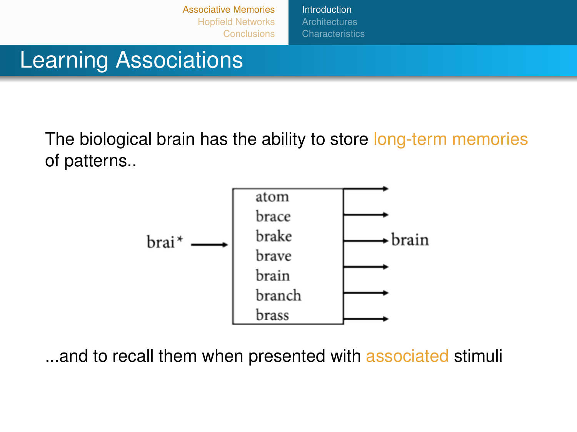[Introduction](#page-1-0) **[Characteristics](#page-9-0)** 

## Learning Associations

The biological brain has the ability to store long-term memories of patterns..



...and to recall them when presented with associated stimuli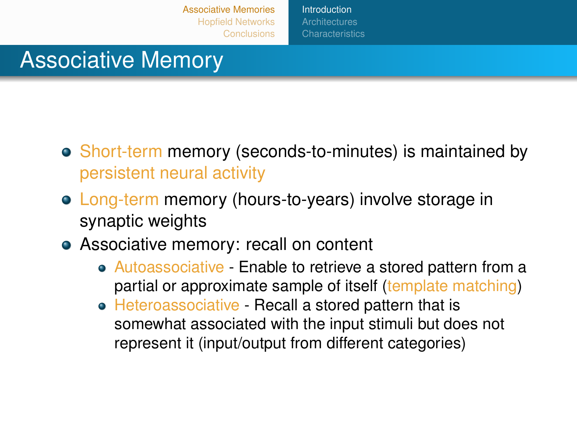**[Introduction](#page-1-0)** 

### Associative Memory

- Short-term memory (seconds-to-minutes) is maintained by persistent neural activity
- Long-term memory (hours-to-years) involve storage in synaptic weights
- Associative memory: recall on content
	- Autoassociative Enable to retrieve a stored pattern from a partial or approximate sample of itself (template matching)
	- Heteroassociative Recall a stored pattern that is somewhat associated with the input stimuli but does not represent it (input/output from different categories)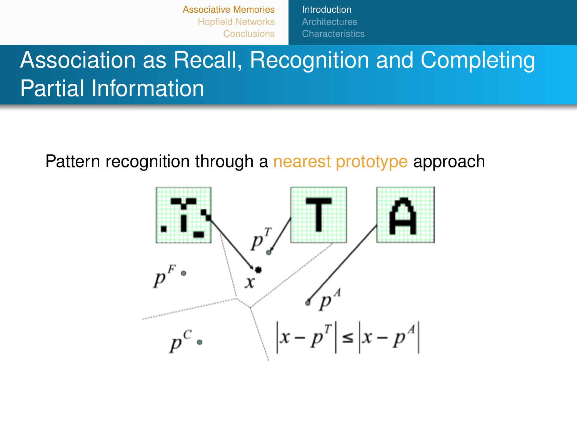[Introduction](#page-1-0) **[Characteristics](#page-9-0)** 

# Association as Recall, Recognition and Completing Partial Information

#### Pattern recognition through a nearest prototype approach

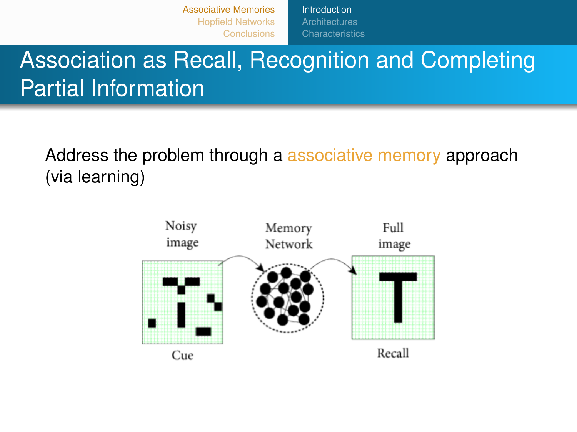[Introduction](#page-1-0) **[Characteristics](#page-9-0)** 

# Association as Recall, Recognition and Completing Partial Information

Address the problem through a associative memory approach (via learning)

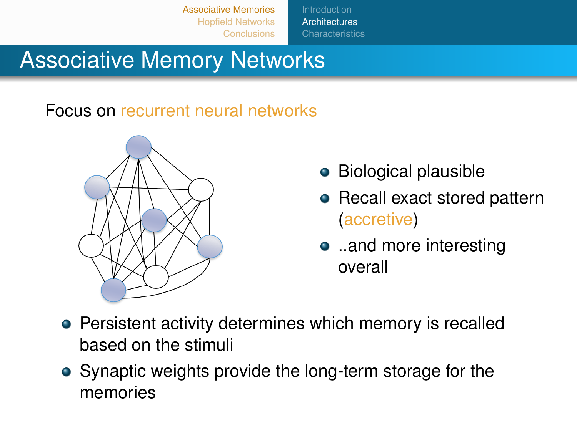**[Architectures](#page-6-0)** 

### <span id="page-6-0"></span>Associative Memory Networks

#### Focus on recurrent neural networks



- **•** Biological plausible
- Recall exact stored pattern (accretive)
- ..and more interesting overall
- Persistent activity determines which memory is recalled based on the stimuli
- Synaptic weights provide the long-term storage for the memories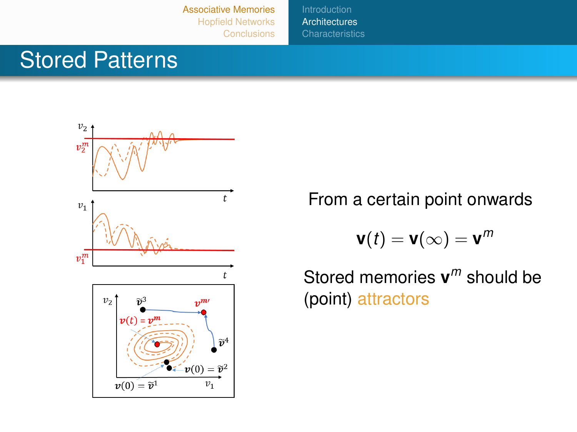**[Architectures](#page-6-0) [Characteristics](#page-9-0)** 

### Stored Patterns



From a certain point onwards

$$
\mathbf{v}(t)=\mathbf{v}(\infty)=\mathbf{v}^m
$$

Stored memories **v** *<sup>m</sup>* should be (point) attractors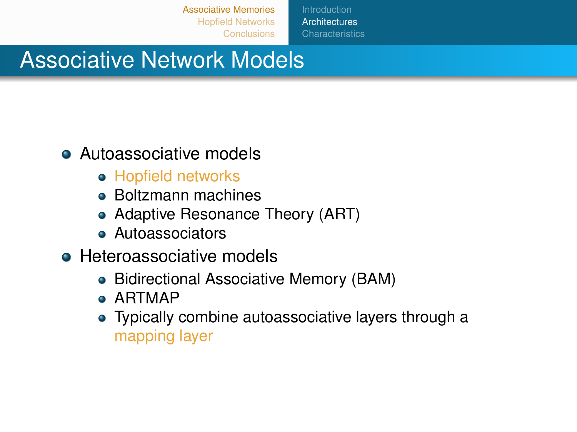**[Architectures](#page-6-0)** 

### Associative Network Models

#### **• Autoassociative models**

- Hopfield networks
- Boltzmann machines
- Adaptive Resonance Theory (ART)
- **Autoassociators**
- **Heteroassociative models** 
	- Bidirectional Associative Memory (BAM)
	- ARTMAP
	- Typically combine autoassociative layers through a mapping layer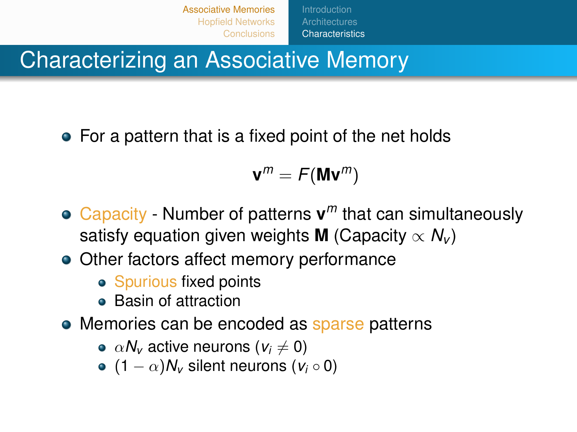[Associative Memories](#page-1-0) [Hopfield Networks](#page-10-0) **[Conclusions](#page-21-0) [Characteristics](#page-9-0)** 

<span id="page-9-0"></span>Characterizing an Associative Memory

• For a pattern that is a fixed point of the net holds

 $\mathbf{v}^m = F(\mathbf{M}\mathbf{v}^m)$ 

- Capacity Number of patterns **v** *<sup>m</sup>* that can simultaneously satisfy equation given weights **M** (Capacity  $\propto N_v$ )
- Other factors affect memory performance
	- Spurious fixed points
	- **Basin of attraction**
- Memories can be encoded as sparse patterns
	- $\alpha N_v$  active neurons ( $v_i \neq 0$ )
	- $\bullet$  (1  $\alpha$ ) $N_v$  silent neurons ( $v_i \circ 0$ )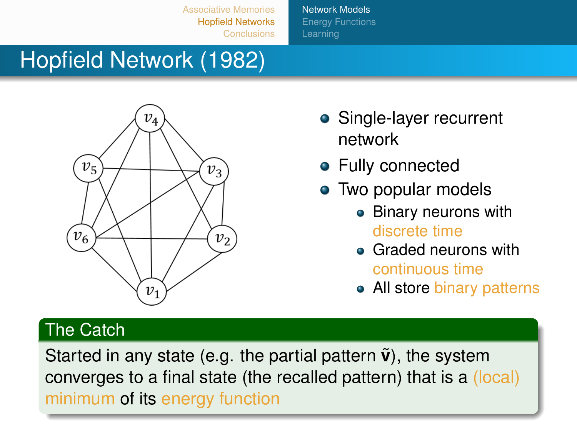[Network Models](#page-10-0) **[Energy Functions](#page-14-0)** [Learning](#page-17-0)

# <span id="page-10-0"></span>Hopfield Network (1982)



- Single-layer recurrent network
- **•** Fully connected
- Two popular models
	- Binary neurons with discrete time
	- Graded neurons with continuous time
	- All store binary patterns

#### The Catch

Started in any state (e.g. the partial pattern  $\tilde{\mathbf{v}}$ ), the system converges to a final state (the recalled pattern) that is a (local) minimum of its energy function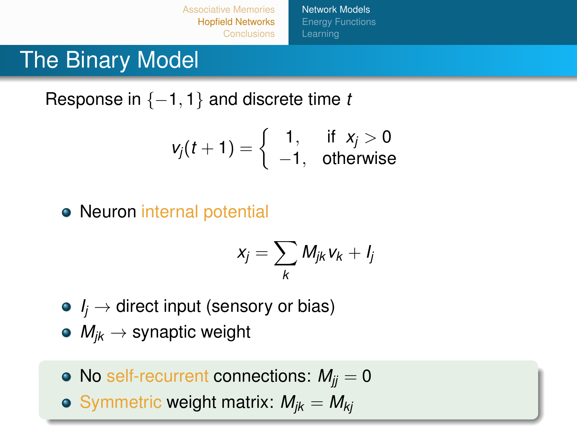[Associative Memories](#page-1-0) [Hopfield Networks](#page-10-0) [Network Models](#page-10-0) [Energy Functions](#page-14-0)

### The Binary Model

Response in {−1, 1} and discrete time *t*

$$
v_j(t+1) = \left\{ \begin{array}{ll} 1, & \text{if } x_j > 0 \\ -1, & \text{otherwise} \end{array} \right.
$$

#### • Neuron internal potential

$$
x_j = \sum_k M_{jk} v_k + l_j
$$

- $\bullet$  *I<sub>i</sub>*  $\rightarrow$  direct input (sensory or bias)
- $\bullet$   $M_{ik} \rightarrow$  synaptic weight
- No self-recurrent connections:  $M_{ii} = 0$
- $\bullet$  Symmetric weight matrix:  $M_{jk} = M_{kj}$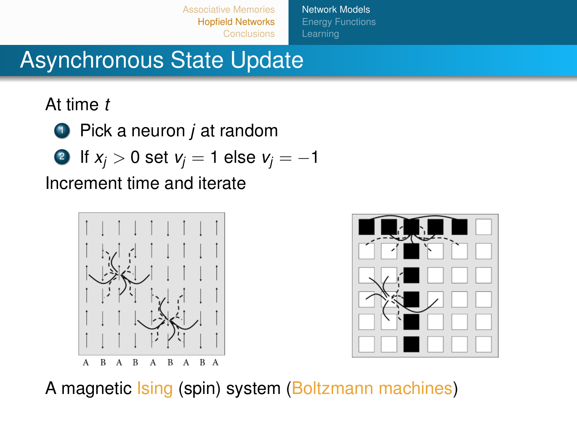[Network Models](#page-10-0) [Energy Functions](#page-14-0)

### Asynchronous State Update

At time *t*

- <sup>1</sup> Pick a neuron *j* at random
- 2 If  $x_i > 0$  set  $v_i = 1$  else  $v_i = -1$

Increment time and iterate





A magnetic Ising (spin) system (Boltzmann machines)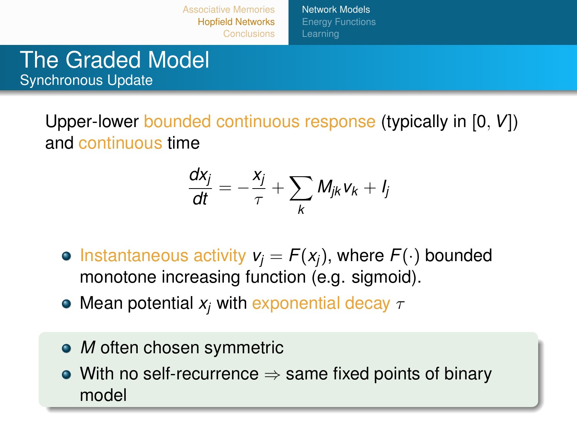[Network Models](#page-10-0) [Energy Functions](#page-14-0)

#### The Graded Model Synchronous Update

Upper-lower bounded continuous response (typically in [0, *V*]) and continuous time

$$
\frac{dx_j}{dt}=-\frac{x_j}{\tau}+\sum_k M_{jk}v_k+l_j
$$

- $\bullet$  Instantaneous activity  $v_i = F(x_i)$ , where  $F(\cdot)$  bounded monotone increasing function (e.g. sigmoid).
- Mean potential  $x_j$  with exponential decay  $\tau$
- *M* often chosen symmetric
- $\bullet$  With no self-recurrence  $\Rightarrow$  same fixed points of binary model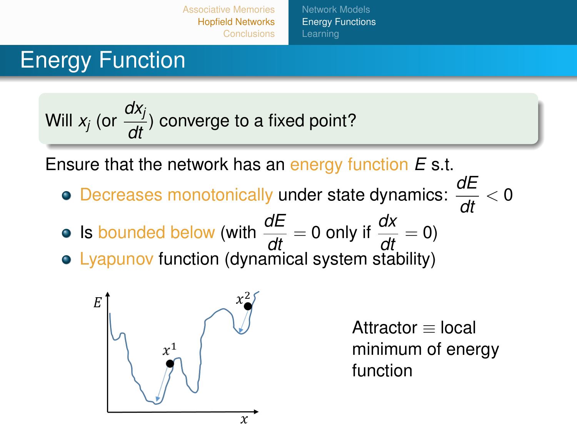[Associative Memories](#page-1-0) [Hopfield Networks](#page-10-0) [Network Models](#page-10-0) [Energy Functions](#page-14-0) [Learning](#page-17-0)

### <span id="page-14-0"></span>Energy Function

Will 
$$
x_j
$$
 (or  $\frac{dx_j}{dt}$ ) converge to a fixed point?

Ensure that the network has an energy function *E* s.t.

- Decreases monotonically under state dynamics:  $\frac{dE}{dt} < 0$
- Is bounded below (with  $\frac{dE}{dt} = 0$  only if  $\frac{dx}{dt} = 0$ )
- Lyapunov function (dynamical system stability)



Attractor ≡ local minimum of energy function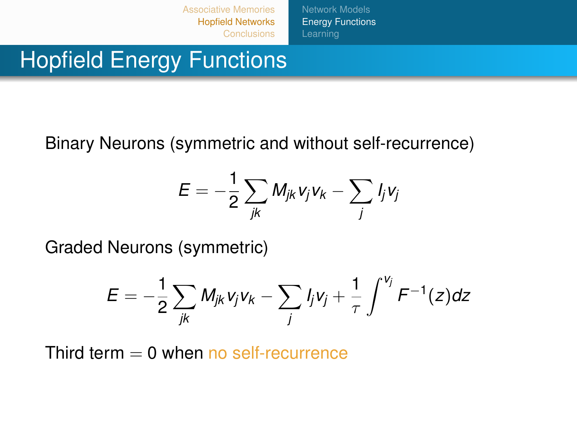[Network Models](#page-10-0) [Energy Functions](#page-14-0)

### Hopfield Energy Functions

Binary Neurons (symmetric and without self-recurrence)

$$
E=-\frac{1}{2}\sum_{jk}M_{jk}v_jv_k-\sum_jl_jv_j
$$

Graded Neurons (symmetric)

$$
E = -\frac{1}{2} \sum_{jk} M_{jk} v_j v_k - \sum_j I_j v_j + \frac{1}{\tau} \int^{v_j} F^{-1}(z) dz
$$

Third term  $= 0$  when no self-recurrence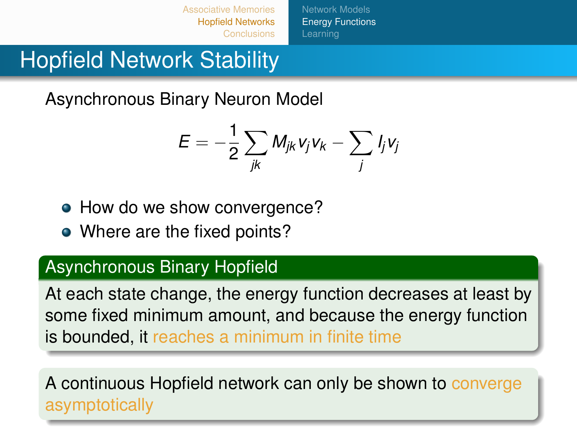[Network Models](#page-10-0) **[Energy Functions](#page-14-0)** [Learning](#page-17-0)

## Hopfield Network Stability

Asynchronous Binary Neuron Model

$$
E=-\frac{1}{2}\sum_{jk}M_{jk}v_jv_k-\sum_jl_jv_j
$$

- How do we show convergence?
- Where are the fixed points?

#### Asynchronous Binary Hopfield

At each state change, the energy function decreases at least by some fixed minimum amount, and because the energy function is bounded, it reaches a minimum in finite time

A continuous Hopfield network can only be shown to converge asymptotically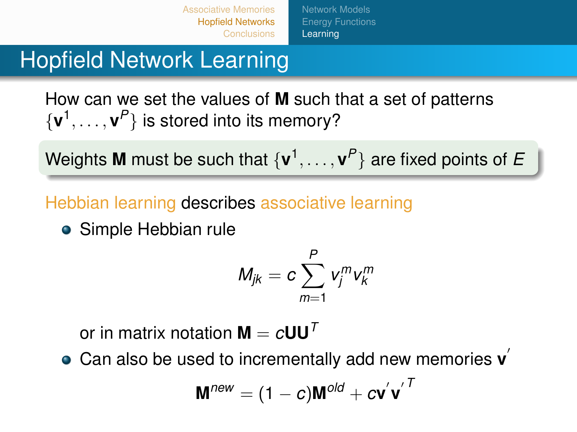[Network Models](#page-10-0) **[Energy Functions](#page-14-0)** [Learning](#page-17-0)

### <span id="page-17-0"></span>Hopfield Network Learning

How can we set the values of **M** such that a set of patterns  $\{v^1, \ldots, v^P\}$  is stored into its memory?

Weights **M** must be such that {**v** 1 , . . . , **v** *P* } are fixed points of *E*

Hebbian learning describes associative learning

**•** Simple Hebbian rule

$$
M_{jk}=c\sum_{m=1}^P v_j^m v_k^m
$$

or in matrix notation  $M = cUU^T$ 

Can also be used to incrementally add new memories **v** 0

$$
\mathbf{M}^{\textit{new}} = (1-c)\mathbf{M}^{\textit{old}} + c\mathbf{v^{'}}\mathbf{v^{'}}^T
$$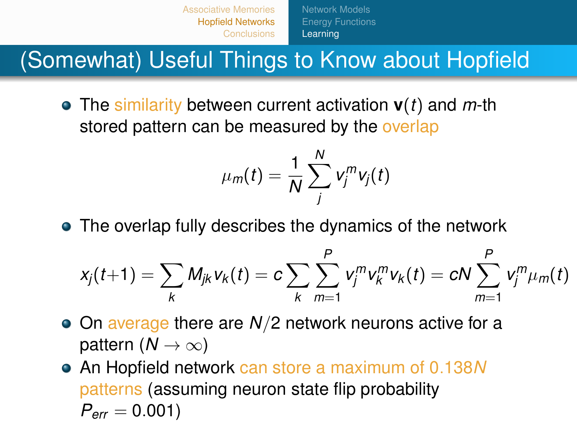[Associative Memories](#page-1-0) [Hopfield Networks](#page-10-0) **[Conclusions](#page-21-0)** [Network Models](#page-10-0) **[Energy Functions](#page-14-0)** [Learning](#page-17-0)

(Somewhat) Useful Things to Know about Hopfield

The similarity between current activation **v**(*t*) and *m*-th stored pattern can be measured by the overlap

$$
\mu_m(t) = \frac{1}{N} \sum_j^N v_j^m v_j(t)
$$

The overlap fully describes the dynamics of the network

$$
x_j(t+1) = \sum_{k} M_{jk} v_k(t) = c \sum_{k} \sum_{m=1}^{P} v_j^m v_k^m v_k(t) = cN \sum_{m=1}^{P} v_j^m \mu_m(t)
$$

- On average there are *N*/2 network neurons active for a pattern  $(N \to \infty)$
- An Hopfield network can store a maximum of 0.138*N* patterns (assuming neuron state flip probability  $P_{\text{err}} = 0.001$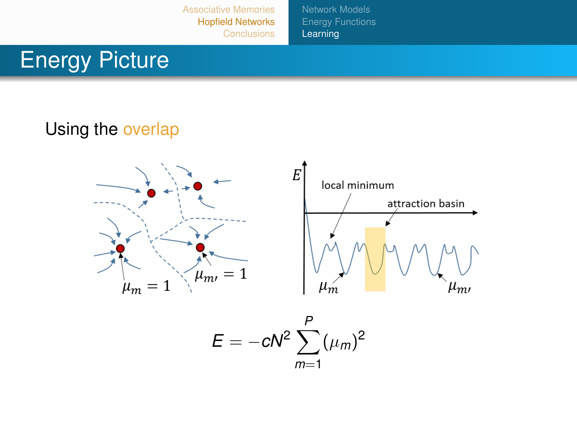[Network Models](#page-10-0) [Energy Functions](#page-14-0) **[Learning](#page-17-0)** 

## Energy Picture

#### Using the overlap



$$
E=-cN^2\sum_{m=1}^P(\mu_m)^2
$$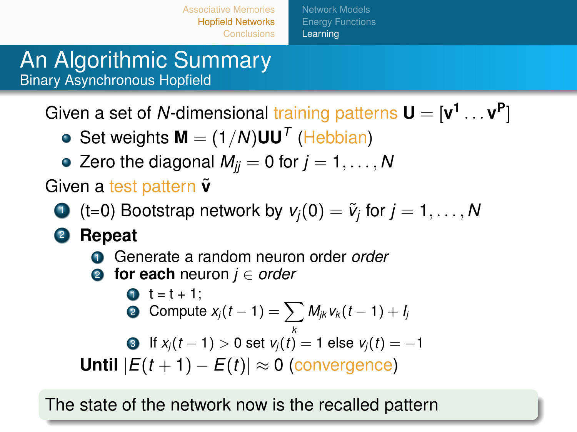[Network Models](#page-10-0) **[Energy Functions](#page-14-0)** [Learning](#page-17-0)

#### An Algorithmic Summary Binary Asynchronous Hopfield

Given a set of  $N$ -dimensional training patterns  $\mathbf{U} = [\mathbf{v}^1 \dots \mathbf{v}^{\mathbf{P}}]$ 

- Set weights  $M = (1/N)UU^T$  (Hebbian)
- Zero the diagonal  $M_{ij} = 0$  for  $j = 1, \ldots, N$

Given a test pattern  $\tilde{v}$ 

- $\bullet$  (t=0) Bootstrap network by  $v_j(0) = \widetilde{v}_j$  for  $j = 1, \ldots, N$
- <sup>2</sup> **Repeat**
	- <sup>1</sup> Generate a random neuron order *order*
	- <sup>2</sup> **for each** neuron *j* ∈ *order*

\n- \n
$$
t = t + 1;
$$
\n
\n- \n Compute  $x_j(t-1) = \sum_k M_{jk} v_k(t-1) + l_j$ \n
\n- \n If  $x_j(t-1) > 0$  set  $v_j(t) = 1$  else  $v_j(t) = -1$ \n
\n- \n Until  $|E(t+1) - E(t)| \approx 0$  (convergence)\n
\n

The state of the network now is the recalled pattern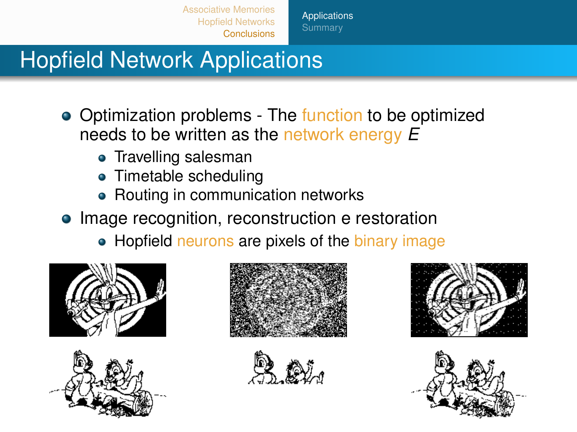**[Applications](#page-21-0) [Summary](#page-22-0)** 

## <span id="page-21-0"></span>Hopfield Network Applications

- Optimization problems The function to be optimized needs to be written as the network energy *E*
	- Travelling salesman
	- Timetable scheduling
	- Routing in communication networks
- Image recognition, reconstruction e restoration
	- Hopfield neurons are pixels of the binary image











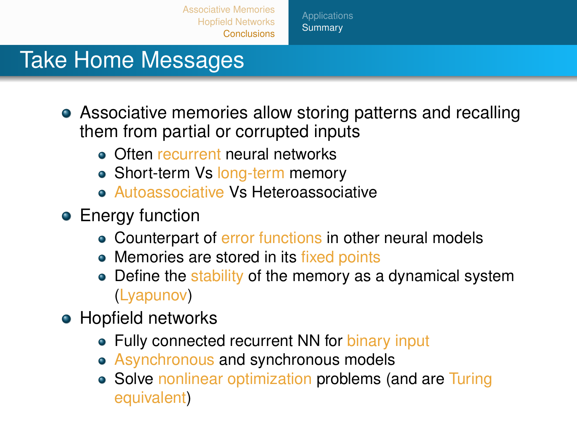**[Summary](#page-22-0)** 

### <span id="page-22-0"></span>Take Home Messages

- Associative memories allow storing patterns and recalling them from partial or corrupted inputs
	- **Often recurrent neural networks**
	- Short-term Vs long-term memory
	- **Autoassociative Vs Heteroassociative**
- **•** Energy function
	- Counterpart of error functions in other neural models
	- Memories are stored in its fixed points
	- Define the stability of the memory as a dynamical system (Lyapunov)
- **Hopfield networks** 
	- Fully connected recurrent NN for binary input
	- Asynchronous and synchronous models
	- Solve nonlinear optimization problems (and are Turing equivalent)